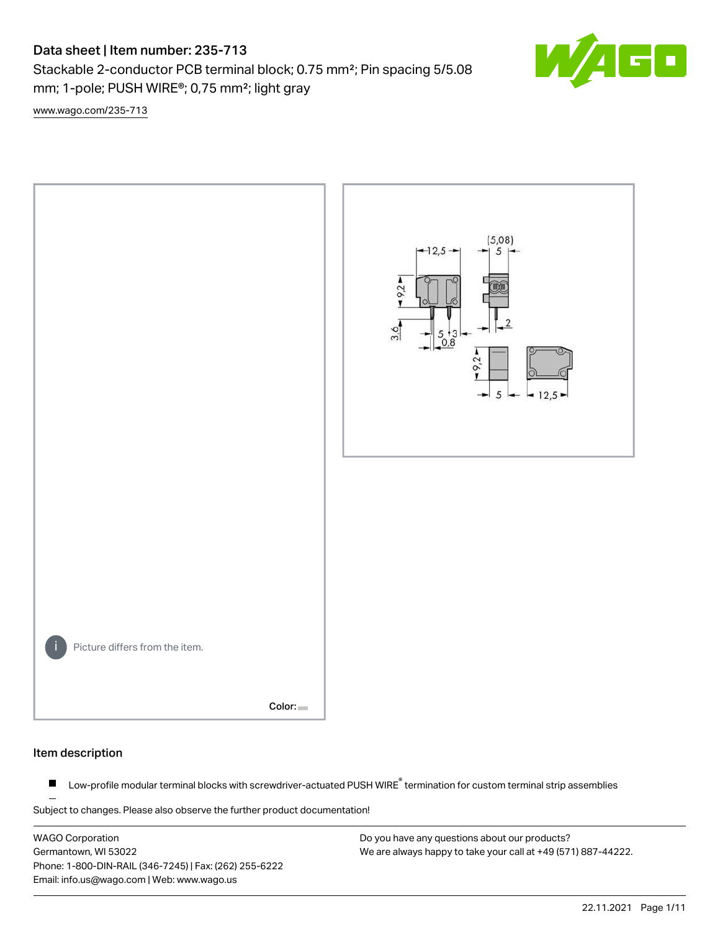# Data sheet | Item number: 235-713

Stackable 2-conductor PCB terminal block; 0.75 mm²; Pin spacing 5/5.08 mm; 1-pole; PUSH WIRE®; 0,75 mm²; light gray

 $\blacksquare$ 

[www.wago.com/235-713](http://www.wago.com/235-713)



#### Item description

Low-profile modular terminal blocks with screwdriver-actuated PUSH WIRE<sup>®</sup> termination for custom terminal strip assemblies  $\blacksquare$ 

Subject to changes. Please also observe the further product documentation!

WAGO Corporation Germantown, WI 53022 Phone: 1-800-DIN-RAIL (346-7245) | Fax: (262) 255-6222 Email: info.us@wago.com | Web: www.wago.us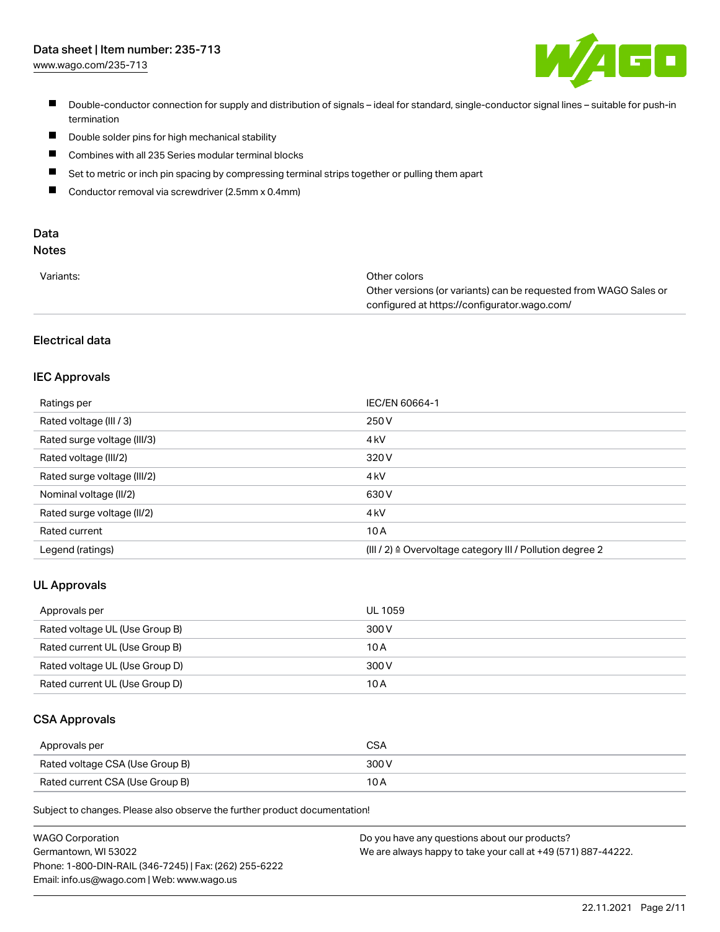

- Double-conductor connection for supply and distribution of signals ideal for standard, single-conductor signal lines suitable for push-in termination
- $\blacksquare$ Double solder pins for high mechanical stability
- $\blacksquare$ Combines with all 235 Series modular terminal blocks
- $\blacksquare$ Set to metric or inch pin spacing by compressing terminal strips together or pulling them apart
- $\blacksquare$ Conductor removal via screwdriver (2.5mm x 0.4mm)

# Data

# Notes

| Variants: | Other colors                                                     |
|-----------|------------------------------------------------------------------|
|           | Other versions (or variants) can be requested from WAGO Sales or |
|           | configured at https://configurator.wago.com/                     |

# Electrical data

#### IEC Approvals

| Ratings per                 | IEC/EN 60664-1                                                        |
|-----------------------------|-----------------------------------------------------------------------|
| Rated voltage (III / 3)     | 250 V                                                                 |
| Rated surge voltage (III/3) | 4 <sub>k</sub> V                                                      |
| Rated voltage (III/2)       | 320 V                                                                 |
| Rated surge voltage (III/2) | 4 <sub>k</sub> V                                                      |
| Nominal voltage (II/2)      | 630 V                                                                 |
| Rated surge voltage (II/2)  | 4 <sub>k</sub> V                                                      |
| Rated current               | 10A                                                                   |
| Legend (ratings)            | $(III / 2)$ $\triangle$ Overvoltage category III / Pollution degree 2 |

# UL Approvals

| Approvals per                  | UL 1059 |
|--------------------------------|---------|
| Rated voltage UL (Use Group B) | 300 V   |
| Rated current UL (Use Group B) | 10 A    |
| Rated voltage UL (Use Group D) | 300 V   |
| Rated current UL (Use Group D) | 10 A    |

#### CSA Approvals

| Approvals per                   | CSA   |
|---------------------------------|-------|
| Rated voltage CSA (Use Group B) | 300 V |
| Rated current CSA (Use Group B) |       |

Subject to changes. Please also observe the further product documentation!

| <b>WAGO Corporation</b>                                | Do you have any questions about our products?                 |
|--------------------------------------------------------|---------------------------------------------------------------|
| Germantown, WI 53022                                   | We are always happy to take your call at +49 (571) 887-44222. |
| Phone: 1-800-DIN-RAIL (346-7245)   Fax: (262) 255-6222 |                                                               |
| Email: info.us@wago.com   Web: www.wago.us             |                                                               |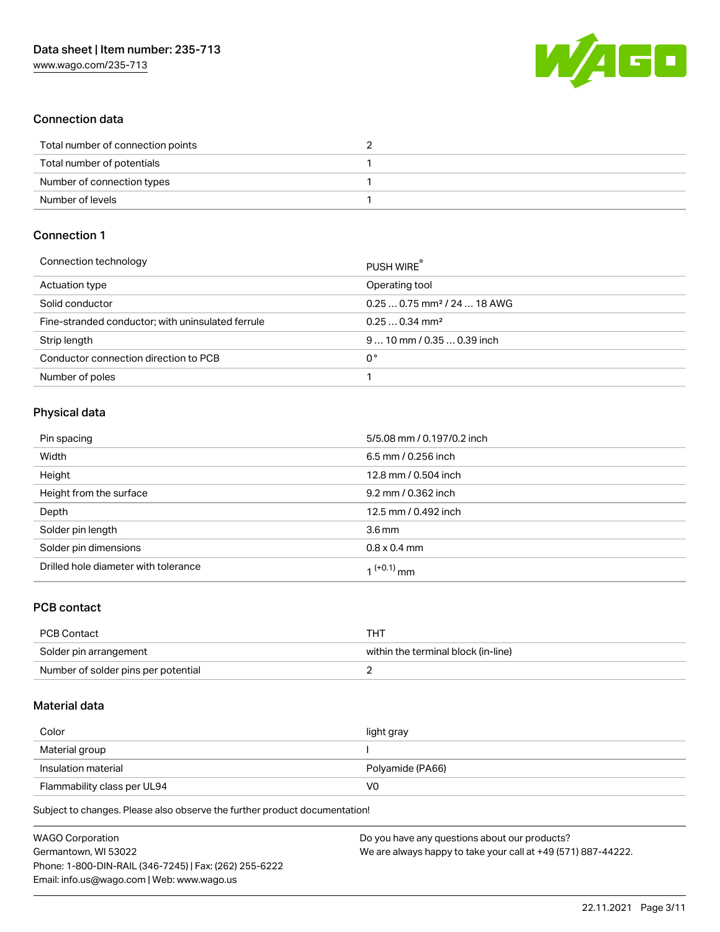

# Connection data

| Total number of connection points |  |
|-----------------------------------|--|
| Total number of potentials        |  |
| Number of connection types        |  |
| Number of levels                  |  |

# Connection 1

| PUSH WIRE                               |
|-----------------------------------------|
| Operating tool                          |
| $0.250.75$ mm <sup>2</sup> / 24  18 AWG |
| $0.250.34$ mm <sup>2</sup>              |
| $910$ mm / 0.35  0.39 inch              |
| 0°                                      |
|                                         |
|                                         |

# Physical data

| Pin spacing                          | 5/5.08 mm / 0.197/0.2 inch |
|--------------------------------------|----------------------------|
| Width                                | 6.5 mm / 0.256 inch        |
| Height                               | 12.8 mm / 0.504 inch       |
| Height from the surface              | 9.2 mm / 0.362 inch        |
| Depth                                | 12.5 mm / 0.492 inch       |
| Solder pin length                    | 3.6 <sub>mm</sub>          |
| Solder pin dimensions                | $0.8 \times 0.4$ mm        |
| Drilled hole diameter with tolerance | 1 <sup>(+0.1)</sup> mm     |

# PCB contact

| PCB Contact                         | THI                                 |
|-------------------------------------|-------------------------------------|
| Solder pin arrangement              | within the terminal block (in-line) |
| Number of solder pins per potential |                                     |

#### Material data

| Color                       | light gray       |
|-----------------------------|------------------|
| Material group              |                  |
| Insulation material         | Polyamide (PA66) |
| Flammability class per UL94 | V0               |

Subject to changes. Please also observe the further product documentation!

| <b>WAGO Corporation</b>                                | Do you have any questions about our products?                 |
|--------------------------------------------------------|---------------------------------------------------------------|
| Germantown, WI 53022                                   | We are always happy to take your call at +49 (571) 887-44222. |
| Phone: 1-800-DIN-RAIL (346-7245)   Fax: (262) 255-6222 |                                                               |
| Email: info.us@wago.com   Web: www.wago.us             |                                                               |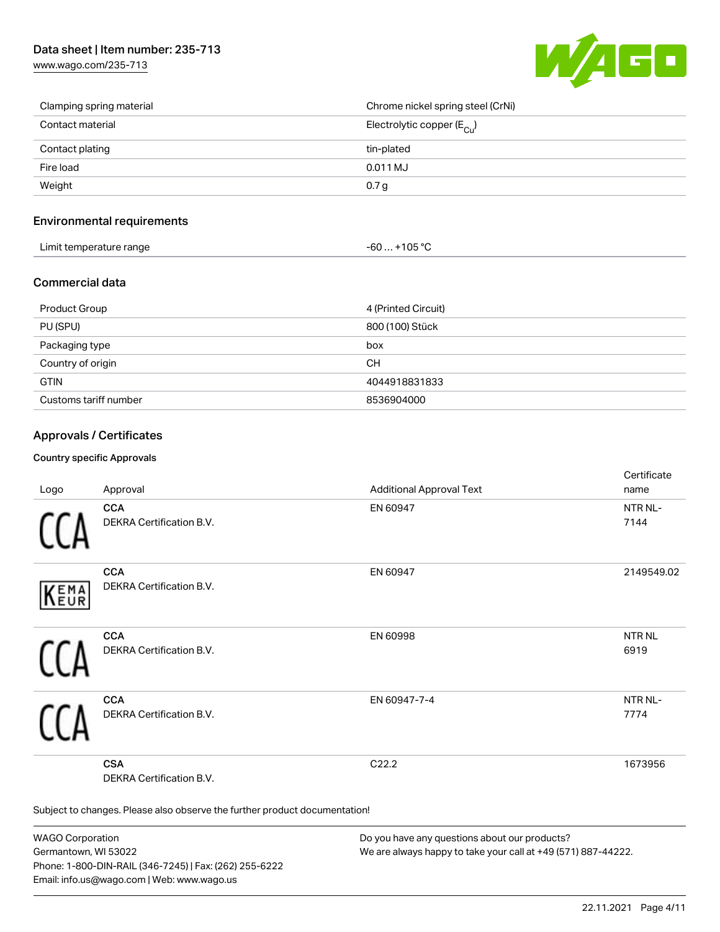[www.wago.com/235-713](http://www.wago.com/235-713)



| Clamping spring material | Chrome nickel spring steel (CrNi)       |
|--------------------------|-----------------------------------------|
| Contact material         | Electrolytic copper ( $E_{\text{Cu}}$ ) |
| Contact plating          | tin-plated                              |
| Fire load                | 0.011 MJ                                |
| Weight                   | 0.7 <sub>g</sub>                        |

# Environmental requirements

| Limit temperature range | $-60+105 °C$ |
|-------------------------|--------------|
|-------------------------|--------------|

#### Commercial data

| Product Group         | 4 (Printed Circuit) |
|-----------------------|---------------------|
| PU (SPU)              | 800 (100) Stück     |
| Packaging type        | box                 |
| Country of origin     | CН                  |
| <b>GTIN</b>           | 4044918831833       |
| Customs tariff number | 8536904000          |

# Approvals / Certificates

#### Country specific Approvals

| Logo       | Approval                                                                   | <b>Additional Approval Text</b> | Certificate<br>name         |
|------------|----------------------------------------------------------------------------|---------------------------------|-----------------------------|
|            | <b>CCA</b><br>DEKRA Certification B.V.                                     | EN 60947                        | NTR NL-<br>7144             |
| EMA<br>EUR | <b>CCA</b><br>DEKRA Certification B.V.                                     | EN 60947                        | 2149549.02                  |
|            | <b>CCA</b><br>DEKRA Certification B.V.                                     | EN 60998                        | NTR <sub>NL</sub><br>6919   |
|            | <b>CCA</b><br>DEKRA Certification B.V.                                     | EN 60947-7-4                    | NTR <sub>NL</sub> -<br>7774 |
|            | <b>CSA</b><br>DEKRA Certification B.V.                                     | C22.2                           | 1673956                     |
|            | Subject to changes. Please also observe the further product documentation! |                                 |                             |

WAGO Corporation Germantown, WI 53022 Phone: 1-800-DIN-RAIL (346-7245) | Fax: (262) 255-6222 Email: info.us@wago.com | Web: www.wago.us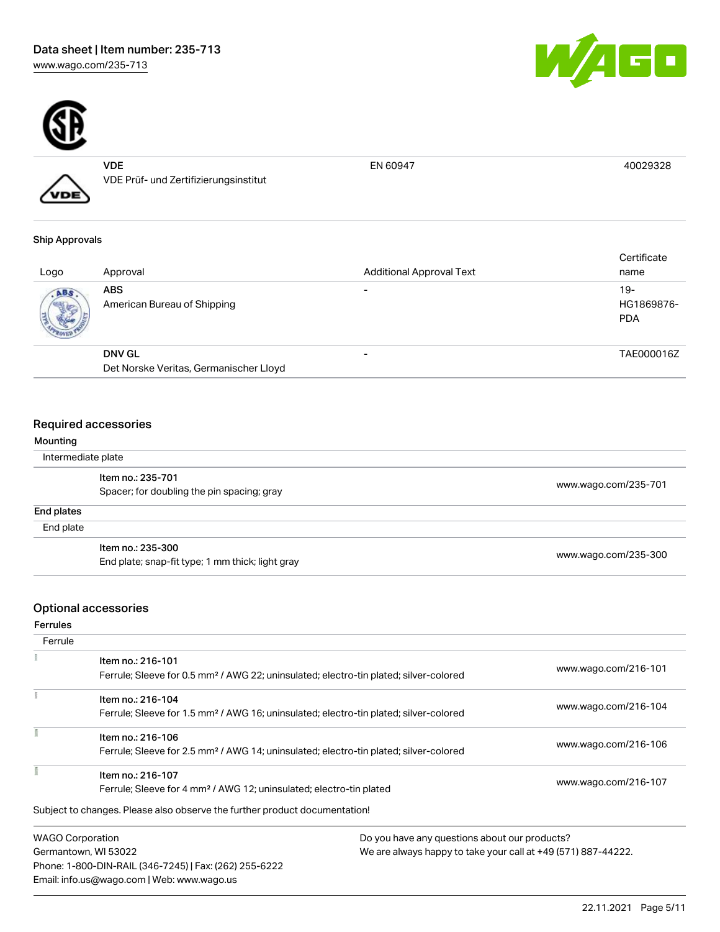



VDE VDE Prüf- und Zertifizierungsinstitut

EN 60947 40029328

# Ship Approvals

VDE

| Logo | Approval                                  | <b>Additional Approval Text</b> | Certificate<br>name             |
|------|-------------------------------------------|---------------------------------|---------------------------------|
| ABS. | <b>ABS</b><br>American Bureau of Shipping | -                               | 19-<br>HG1869876-<br><b>PDA</b> |
|      | <b>DNV GL</b>                             | -                               | TAE000016Z                      |
|      | Det Norske Veritas, Germanischer Lloyd    |                                 |                                 |

# Required accessories

| Mounting           |                                                  |                      |  |
|--------------------|--------------------------------------------------|----------------------|--|
| Intermediate plate |                                                  |                      |  |
|                    | Item no.: 235-701                                | www.wago.com/235-701 |  |
|                    | Spacer; for doubling the pin spacing; gray       |                      |  |
| End plates         |                                                  |                      |  |
| End plate          |                                                  |                      |  |
|                    | Item no.: 235-300                                | www.wago.com/235-300 |  |
|                    | End plate; snap-fit type; 1 mm thick; light gray |                      |  |

# Optional accessories

Ferrules

| Ferrule                 |                                                                                                                        |                                               |
|-------------------------|------------------------------------------------------------------------------------------------------------------------|-----------------------------------------------|
|                         | Item no.: 216-101<br>Ferrule; Sleeve for 0.5 mm <sup>2</sup> / AWG 22; uninsulated; electro-tin plated; silver-colored | www.wago.com/216-101                          |
|                         | Item no.: 216-104<br>Ferrule; Sleeve for 1.5 mm <sup>2</sup> / AWG 16; uninsulated; electro-tin plated; silver-colored | www.wago.com/216-104                          |
|                         | Item no.: 216-106<br>Ferrule; Sleeve for 2.5 mm <sup>2</sup> / AWG 14; uninsulated; electro-tin plated; silver-colored | www.wago.com/216-106                          |
|                         | Item no.: 216-107<br>Ferrule; Sleeve for 4 mm <sup>2</sup> / AWG 12; uninsulated; electro-tin plated                   | www.wago.com/216-107                          |
|                         | Subject to changes. Please also observe the further product documentation!                                             |                                               |
| <b>WAGO Corporation</b> |                                                                                                                        | Do you have any questions about our products? |

Germantown, WI 53022 Phone: 1-800-DIN-RAIL (346-7245) | Fax: (262) 255-6222 Email: info.us@wago.com | Web: www.wago.us

We are always happy to take your call at +49 (571) 887-44222.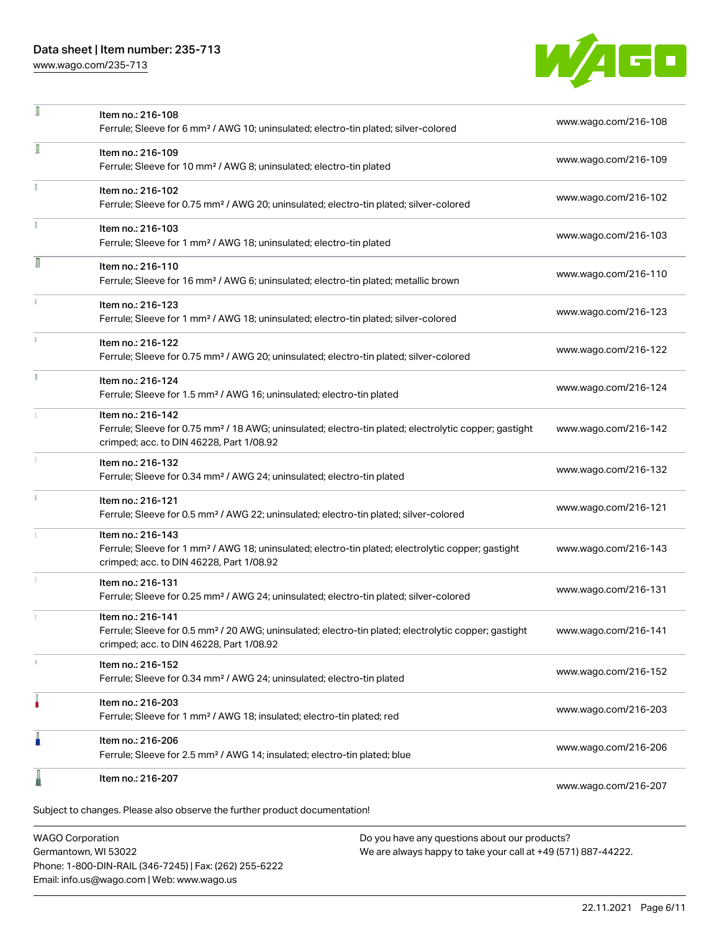# Data sheet | Item number: 235-713

[www.wago.com/235-713](http://www.wago.com/235-713)



| л | Item no.: 216-108<br>Ferrule; Sleeve for 6 mm <sup>2</sup> / AWG 10; uninsulated; electro-tin plated; silver-colored                                                               | www.wago.com/216-108 |
|---|------------------------------------------------------------------------------------------------------------------------------------------------------------------------------------|----------------------|
| 1 | Item no.: 216-109<br>Ferrule; Sleeve for 10 mm <sup>2</sup> / AWG 8; uninsulated; electro-tin plated                                                                               | www.wago.com/216-109 |
|   | Item no.: 216-102<br>Ferrule; Sleeve for 0.75 mm <sup>2</sup> / AWG 20; uninsulated; electro-tin plated; silver-colored                                                            | www.wago.com/216-102 |
|   | Item no.: 216-103<br>Ferrule; Sleeve for 1 mm <sup>2</sup> / AWG 18; uninsulated; electro-tin plated                                                                               | www.wago.com/216-103 |
| Л | Item no.: 216-110<br>Ferrule; Sleeve for 16 mm <sup>2</sup> / AWG 6; uninsulated; electro-tin plated; metallic brown                                                               | www.wago.com/216-110 |
|   | Item no.: 216-123<br>Ferrule; Sleeve for 1 mm <sup>2</sup> / AWG 18; uninsulated; electro-tin plated; silver-colored                                                               | www.wago.com/216-123 |
|   | Item no.: 216-122<br>Ferrule; Sleeve for 0.75 mm <sup>2</sup> / AWG 20; uninsulated; electro-tin plated; silver-colored                                                            | www.wago.com/216-122 |
|   | Item no.: 216-124<br>Ferrule; Sleeve for 1.5 mm <sup>2</sup> / AWG 16; uninsulated; electro-tin plated                                                                             | www.wago.com/216-124 |
|   | Item no.: 216-142<br>Ferrule; Sleeve for 0.75 mm <sup>2</sup> / 18 AWG; uninsulated; electro-tin plated; electrolytic copper; gastight<br>crimped; acc. to DIN 46228, Part 1/08.92 | www.wago.com/216-142 |
|   | Item no.: 216-132<br>Ferrule; Sleeve for 0.34 mm <sup>2</sup> / AWG 24; uninsulated; electro-tin plated                                                                            | www.wago.com/216-132 |
|   | Item no.: 216-121<br>Ferrule; Sleeve for 0.5 mm <sup>2</sup> / AWG 22; uninsulated; electro-tin plated; silver-colored                                                             | www.wago.com/216-121 |
|   | Item no.: 216-143<br>Ferrule; Sleeve for 1 mm <sup>2</sup> / AWG 18; uninsulated; electro-tin plated; electrolytic copper; gastight<br>crimped; acc. to DIN 46228, Part 1/08.92    | www.wago.com/216-143 |
|   | Item no.: 216-131<br>Ferrule; Sleeve for 0.25 mm <sup>2</sup> / AWG 24; uninsulated; electro-tin plated; silver-colored                                                            | www.wago.com/216-131 |
|   | Item no.: 216-141<br>Ferrule; Sleeve for 0.5 mm <sup>2</sup> / 20 AWG; uninsulated; electro-tin plated; electrolytic copper; gastight<br>crimped; acc. to DIN 46228, Part 1/08.92  | www.wago.com/216-141 |
|   | Item no.: 216-152<br>Ferrule; Sleeve for 0.34 mm <sup>2</sup> / AWG 24; uninsulated; electro-tin plated                                                                            | www.wago.com/216-152 |
| ٥ | Item no.: 216-203<br>Ferrule; Sleeve for 1 mm <sup>2</sup> / AWG 18; insulated; electro-tin plated; red                                                                            | www.wago.com/216-203 |
|   | Item no.: 216-206<br>Ferrule; Sleeve for 2.5 mm <sup>2</sup> / AWG 14; insulated; electro-tin plated; blue                                                                         | www.wago.com/216-206 |
|   | Item no.: 216-207                                                                                                                                                                  | www.wago.com/216-207 |
|   | Subject to changes. Please also observe the further product documentation!                                                                                                         |                      |

WAGO Corporation Germantown, WI 53022 Phone: 1-800-DIN-RAIL (346-7245) | Fax: (262) 255-6222 Email: info.us@wago.com | Web: www.wago.us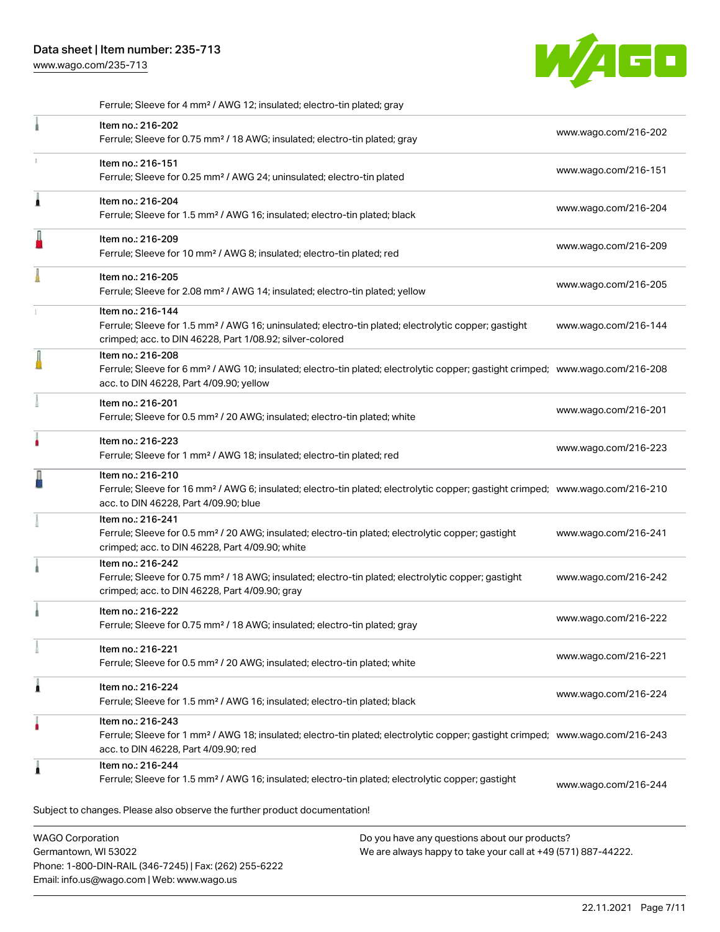Phone: 1-800-DIN-RAIL (346-7245) | Fax: (262) 255-6222

Email: info.us@wago.com | Web: www.wago.us

[www.wago.com/235-713](http://www.wago.com/235-713)



Ferrule; Sleeve for 4 mm² / AWG 12; insulated; electro-tin plated; gray

|                         | Item no.: 216-202<br>Ferrule; Sleeve for 0.75 mm <sup>2</sup> / 18 AWG; insulated; electro-tin plated; gray                                                                                                |                                                                                                                | www.wago.com/216-202 |
|-------------------------|------------------------------------------------------------------------------------------------------------------------------------------------------------------------------------------------------------|----------------------------------------------------------------------------------------------------------------|----------------------|
|                         | Item no.: 216-151<br>Ferrule; Sleeve for 0.25 mm <sup>2</sup> / AWG 24; uninsulated; electro-tin plated                                                                                                    |                                                                                                                | www.wago.com/216-151 |
| л                       | Item no.: 216-204<br>Ferrule; Sleeve for 1.5 mm <sup>2</sup> / AWG 16; insulated; electro-tin plated; black                                                                                                |                                                                                                                | www.wago.com/216-204 |
|                         | Item no.: 216-209<br>Ferrule; Sleeve for 10 mm <sup>2</sup> / AWG 8; insulated; electro-tin plated; red                                                                                                    |                                                                                                                | www.wago.com/216-209 |
|                         | Item no.: 216-205<br>Ferrule; Sleeve for 2.08 mm <sup>2</sup> / AWG 14; insulated; electro-tin plated; yellow                                                                                              |                                                                                                                | www.wago.com/216-205 |
|                         | Item no.: 216-144<br>Ferrule; Sleeve for 1.5 mm <sup>2</sup> / AWG 16; uninsulated; electro-tin plated; electrolytic copper; gastight<br>crimped; acc. to DIN 46228, Part 1/08.92; silver-colored          |                                                                                                                | www.wago.com/216-144 |
|                         | Item no.: 216-208<br>Ferrule; Sleeve for 6 mm <sup>2</sup> / AWG 10; insulated; electro-tin plated; electrolytic copper; gastight crimped; www.wago.com/216-208<br>acc. to DIN 46228, Part 4/09.90; yellow |                                                                                                                |                      |
|                         | Item no.: 216-201<br>Ferrule; Sleeve for 0.5 mm <sup>2</sup> / 20 AWG; insulated; electro-tin plated; white                                                                                                |                                                                                                                | www.wago.com/216-201 |
|                         | Item no.: 216-223<br>Ferrule; Sleeve for 1 mm <sup>2</sup> / AWG 18; insulated; electro-tin plated; red                                                                                                    |                                                                                                                | www.wago.com/216-223 |
|                         | Item no.: 216-210<br>Ferrule; Sleeve for 16 mm <sup>2</sup> / AWG 6; insulated; electro-tin plated; electrolytic copper; gastight crimped; www.wago.com/216-210<br>acc. to DIN 46228, Part 4/09.90; blue   |                                                                                                                |                      |
|                         | Item no.: 216-241<br>Ferrule; Sleeve for 0.5 mm <sup>2</sup> / 20 AWG; insulated; electro-tin plated; electrolytic copper; gastight<br>crimped; acc. to DIN 46228, Part 4/09.90; white                     |                                                                                                                | www.wago.com/216-241 |
|                         | Item no.: 216-242<br>Ferrule; Sleeve for 0.75 mm <sup>2</sup> / 18 AWG; insulated; electro-tin plated; electrolytic copper; gastight<br>crimped; acc. to DIN 46228, Part 4/09.90; gray                     |                                                                                                                | www.wago.com/216-242 |
|                         | Item no.: 216-222<br>Ferrule; Sleeve for 0.75 mm <sup>2</sup> / 18 AWG; insulated; electro-tin plated; gray                                                                                                |                                                                                                                | www.wago.com/216-222 |
|                         | Item no.: 216-221<br>Ferrule; Sleeve for 0.5 mm <sup>2</sup> / 20 AWG; insulated; electro-tin plated; white                                                                                                |                                                                                                                | www.wago.com/216-221 |
| 1                       | Item no.: 216-224<br>Ferrule; Sleeve for 1.5 mm <sup>2</sup> / AWG 16; insulated; electro-tin plated; black                                                                                                |                                                                                                                | www.wago.com/216-224 |
|                         | Item no.: 216-243<br>Ferrule; Sleeve for 1 mm <sup>2</sup> / AWG 18; insulated; electro-tin plated; electrolytic copper; gastight crimped; www.wago.com/216-243<br>acc. to DIN 46228, Part 4/09.90; red    |                                                                                                                |                      |
|                         | Item no.: 216-244<br>Ferrule; Sleeve for 1.5 mm <sup>2</sup> / AWG 16; insulated; electro-tin plated; electrolytic copper; gastight                                                                        |                                                                                                                | www.wago.com/216-244 |
|                         | Subject to changes. Please also observe the further product documentation!                                                                                                                                 |                                                                                                                |                      |
| <b>WAGO Corporation</b> | Germantown, WI 53022                                                                                                                                                                                       | Do you have any questions about our products?<br>We are always happy to take your call at +49 (571) 887-44222. |                      |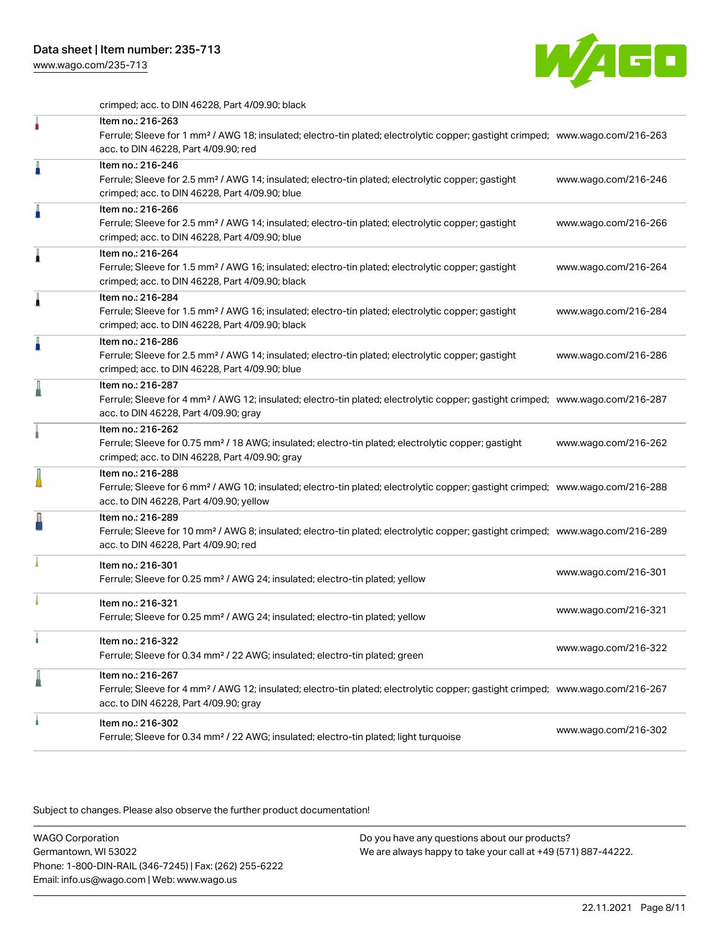[www.wago.com/235-713](http://www.wago.com/235-713)



crimped; acc. to DIN 46228, Part 4/09.90; black

|   | Item no.: 216-263<br>Ferrule; Sleeve for 1 mm <sup>2</sup> / AWG 18; insulated; electro-tin plated; electrolytic copper; gastight crimped; www.wago.com/216-263<br>acc. to DIN 46228, Part 4/09.90; red    |                      |
|---|------------------------------------------------------------------------------------------------------------------------------------------------------------------------------------------------------------|----------------------|
| A | Item no.: 216-246<br>Ferrule; Sleeve for 2.5 mm <sup>2</sup> / AWG 14; insulated; electro-tin plated; electrolytic copper; gastight<br>crimped; acc. to DIN 46228, Part 4/09.90; blue                      | www.wago.com/216-246 |
| A | Item no.: 216-266<br>Ferrule; Sleeve for 2.5 mm <sup>2</sup> / AWG 14; insulated; electro-tin plated; electrolytic copper; gastight<br>crimped; acc. to DIN 46228, Part 4/09.90; blue                      | www.wago.com/216-266 |
| ۸ | Item no.: 216-264<br>Ferrule; Sleeve for 1.5 mm <sup>2</sup> / AWG 16; insulated; electro-tin plated; electrolytic copper; gastight<br>crimped; acc. to DIN 46228, Part 4/09.90; black                     | www.wago.com/216-264 |
|   | Item no.: 216-284<br>Ferrule; Sleeve for 1.5 mm <sup>2</sup> / AWG 16; insulated; electro-tin plated; electrolytic copper; gastight<br>crimped; acc. to DIN 46228, Part 4/09.90; black                     | www.wago.com/216-284 |
| A | Item no.: 216-286<br>Ferrule; Sleeve for 2.5 mm <sup>2</sup> / AWG 14; insulated; electro-tin plated; electrolytic copper; gastight<br>crimped; acc. to DIN 46228, Part 4/09.90; blue                      | www.wago.com/216-286 |
|   | Item no.: 216-287<br>Ferrule; Sleeve for 4 mm <sup>2</sup> / AWG 12; insulated; electro-tin plated; electrolytic copper; gastight crimped; www.wago.com/216-287<br>acc. to DIN 46228, Part 4/09.90; gray   |                      |
|   | Item no.: 216-262<br>Ferrule; Sleeve for 0.75 mm <sup>2</sup> / 18 AWG; insulated; electro-tin plated; electrolytic copper; gastight<br>crimped; acc. to DIN 46228, Part 4/09.90; gray                     | www.wago.com/216-262 |
|   | Item no.: 216-288<br>Ferrule; Sleeve for 6 mm <sup>2</sup> / AWG 10; insulated; electro-tin plated; electrolytic copper; gastight crimped; www.wago.com/216-288<br>acc. to DIN 46228, Part 4/09.90; yellow |                      |
|   | Item no.: 216-289<br>Ferrule; Sleeve for 10 mm <sup>2</sup> / AWG 8; insulated; electro-tin plated; electrolytic copper; gastight crimped; www.wago.com/216-289<br>acc. to DIN 46228, Part 4/09.90; red    |                      |
|   | Item no.: 216-301<br>Ferrule; Sleeve for 0.25 mm <sup>2</sup> / AWG 24; insulated; electro-tin plated; yellow                                                                                              | www.wago.com/216-301 |
|   | Item no.: 216-321<br>Ferrule; Sleeve for 0.25 mm <sup>2</sup> / AWG 24; insulated; electro-tin plated; yellow                                                                                              | www.wago.com/216-321 |
|   | Item no.: 216-322<br>Ferrule; Sleeve for 0.34 mm <sup>2</sup> / 22 AWG; insulated; electro-tin plated; green                                                                                               | www.wago.com/216-322 |
|   | Item no.: 216-267<br>Ferrule; Sleeve for 4 mm <sup>2</sup> / AWG 12; insulated; electro-tin plated; electrolytic copper; gastight crimped; www.wago.com/216-267<br>acc. to DIN 46228, Part 4/09.90; gray   |                      |
| ۸ | Item no.: 216-302<br>Ferrule; Sleeve for 0.34 mm <sup>2</sup> / 22 AWG; insulated; electro-tin plated; light turquoise                                                                                     | www.wago.com/216-302 |

Subject to changes. Please also observe the further product documentation!

WAGO Corporation Germantown, WI 53022 Phone: 1-800-DIN-RAIL (346-7245) | Fax: (262) 255-6222 Email: info.us@wago.com | Web: www.wago.us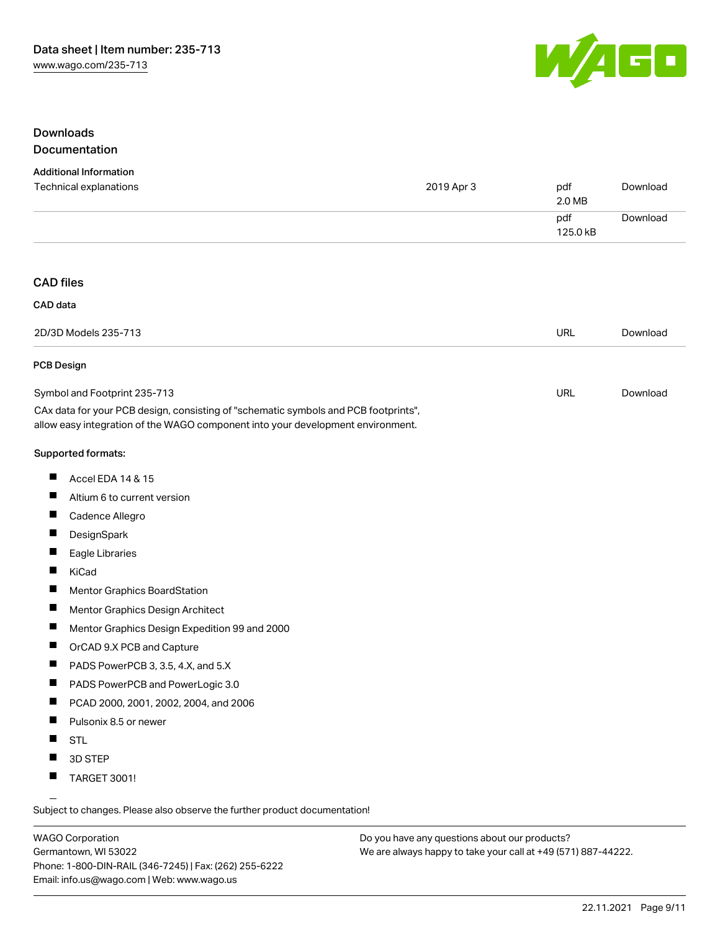

# Downloads Documentation

#### Additional Information

| Technical explanations                                                                                                                                                 | 2019 Apr 3 | pdf<br>2.0 MB   | Download |
|------------------------------------------------------------------------------------------------------------------------------------------------------------------------|------------|-----------------|----------|
|                                                                                                                                                                        |            | pdf<br>125.0 kB | Download |
|                                                                                                                                                                        |            |                 |          |
| <b>CAD files</b>                                                                                                                                                       |            |                 |          |
| CAD data                                                                                                                                                               |            |                 |          |
|                                                                                                                                                                        |            |                 |          |
| 2D/3D Models 235-713                                                                                                                                                   |            | URL             | Download |
| <b>PCB Design</b>                                                                                                                                                      |            |                 |          |
| Symbol and Footprint 235-713                                                                                                                                           |            | URL             | Download |
| CAx data for your PCB design, consisting of "schematic symbols and PCB footprints",<br>allow easy integration of the WAGO component into your development environment. |            |                 |          |
| Supported formats:                                                                                                                                                     |            |                 |          |
| Ш<br>Accel EDA 14 & 15                                                                                                                                                 |            |                 |          |
| ш<br>Altium 6 to current version                                                                                                                                       |            |                 |          |
| Ш<br>Cadence Allegro                                                                                                                                                   |            |                 |          |
| DesignSpark                                                                                                                                                            |            |                 |          |
| ш<br>Eagle Libraries                                                                                                                                                   |            |                 |          |
| Ш<br>KiCad                                                                                                                                                             |            |                 |          |
| ш<br><b>Mentor Graphics BoardStation</b>                                                                                                                               |            |                 |          |
| ш<br>Mentor Graphics Design Architect                                                                                                                                  |            |                 |          |
| Ш<br>Mentor Graphics Design Expedition 99 and 2000                                                                                                                     |            |                 |          |
| Ш<br>OrCAD 9.X PCB and Capture                                                                                                                                         |            |                 |          |
| PADS PowerPCB 3, 3.5, 4.X, and 5.X<br>ш                                                                                                                                |            |                 |          |
| ш<br>PADS PowerPCB and PowerLogic 3.0                                                                                                                                  |            |                 |          |
| Ш<br>PCAD 2000, 2001, 2002, 2004, and 2006                                                                                                                             |            |                 |          |
| Ш<br>Pulsonix 8.5 or newer                                                                                                                                             |            |                 |          |
| <b>STL</b>                                                                                                                                                             |            |                 |          |
| П<br>3D STEP                                                                                                                                                           |            |                 |          |
| ш<br><b>TARGET 3001!</b>                                                                                                                                               |            |                 |          |

Subject to changes. Please also observe the further product documentation!

WAGO Corporation Germantown, WI 53022 Phone: 1-800-DIN-RAIL (346-7245) | Fax: (262) 255-6222 Email: info.us@wago.com | Web: www.wago.us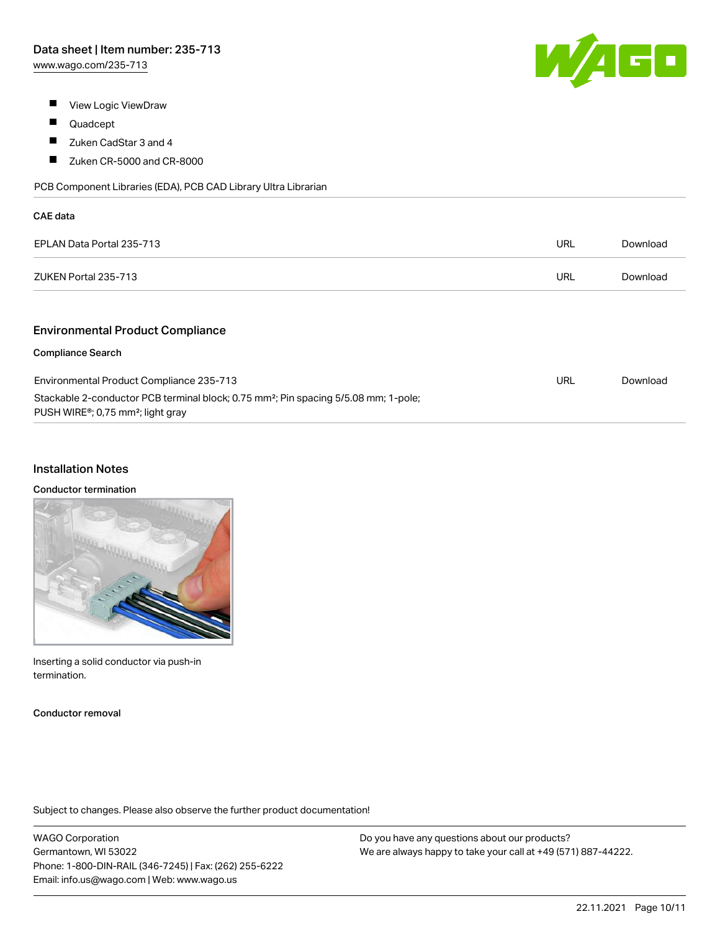

- **View Logic ViewDraw**
- $\blacksquare$ Quadcept
- $\blacksquare$ Zuken CadStar 3 and 4
- $\blacksquare$ Zuken CR-5000 and CR-8000

PCB Component Libraries (EDA), PCB CAD Library Ultra Librarian

| CAE data                  |            |          |
|---------------------------|------------|----------|
| EPLAN Data Portal 235-713 | URL        | Download |
| ZUKEN Portal 235-713      | <b>URL</b> | Download |
|                           |            |          |

# Environmental Product Compliance

#### Compliance Search

| Environmental Product Compliance 235-713                                                                                                                      | URL | Download |
|---------------------------------------------------------------------------------------------------------------------------------------------------------------|-----|----------|
| Stackable 2-conductor PCB terminal block; 0.75 mm <sup>2</sup> ; Pin spacing 5/5.08 mm; 1-pole;<br>PUSH WIRE <sup>®</sup> ; 0,75 mm <sup>2</sup> ; light gray |     |          |

#### Installation Notes

#### Conductor termination

| ۱ |  |
|---|--|
|   |  |
|   |  |

Inserting a solid conductor via push-in termination.

Conductor removal

Subject to changes. Please also observe the further product documentation!

WAGO Corporation Germantown, WI 53022 Phone: 1-800-DIN-RAIL (346-7245) | Fax: (262) 255-6222 Email: info.us@wago.com | Web: www.wago.us